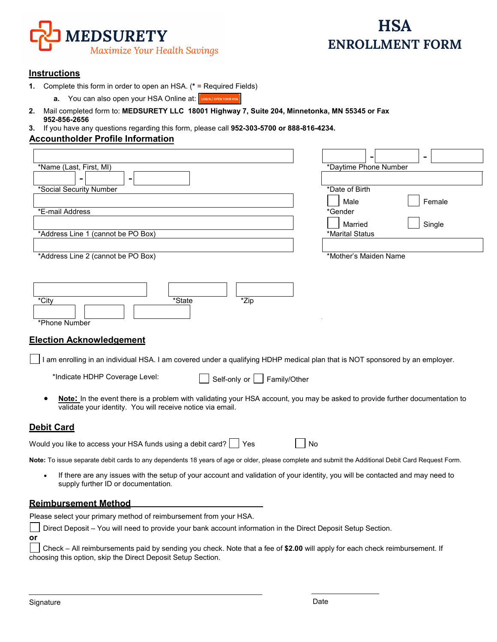

# **Instructions**

- **1.** Complete this form in order to open an HSA. (**\*** = Required Fields)
	- **a.** You can also open your HSA Online at: **LOGINY / OPEN YOUR HSA**
- **2.** Mail completed form to: **MEDSURETY LLC 18001 Highway 7, Suite 204, Minnetonka, MN 55345 or Fax 952-856-2656**
- **3.** If you have any questions regarding this form, please call **952-303-5700 or 888-816-4234.**

## **Accountholder Profile Information**

| *Name (Last, First, MI)<br>*Daytime Phone Number<br>*Date of Birth<br>*Social Security Number<br>Male<br>Female<br>*E-mail Address<br>*Gender<br>Married<br>Single<br>*Address Line 1 (cannot be PO Box)<br>*Marital Status<br>*Address Line 2 (cannot be PO Box)<br>*Mother's Maiden Name<br>*State<br>*Zip<br>*City<br>*Phone Number<br><b>Election Acknowledgement</b><br>am enrolling in an individual HSA. I am covered under a qualifying HDHP medical plan that is NOT sponsored by an employer.<br>*Indicate HDHP Coverage Level:<br>Self-only or     Family/Other<br>Note: In the event there is a problem with validating your HSA account, you may be asked to provide further documentation to<br>validate your identity. You will receive notice via email.<br>No<br>Note: To issue separate debit cards to any dependents 18 years of age or older, please complete and submit the Additional Debit Card Request Form.<br>If there are any issues with the setup of your account and validation of your identity, you will be contacted and may need to<br>$\bullet$<br>supply further ID or documentation.<br>Please select your primary method of reimbursement from your HSA.<br>Direct Deposit - You will need to provide your bank account information in the Direct Deposit Setup Section. |                                                                                          |  |  |  |
|----------------------------------------------------------------------------------------------------------------------------------------------------------------------------------------------------------------------------------------------------------------------------------------------------------------------------------------------------------------------------------------------------------------------------------------------------------------------------------------------------------------------------------------------------------------------------------------------------------------------------------------------------------------------------------------------------------------------------------------------------------------------------------------------------------------------------------------------------------------------------------------------------------------------------------------------------------------------------------------------------------------------------------------------------------------------------------------------------------------------------------------------------------------------------------------------------------------------------------------------------------------------------------------------------------------|------------------------------------------------------------------------------------------|--|--|--|
|                                                                                                                                                                                                                                                                                                                                                                                                                                                                                                                                                                                                                                                                                                                                                                                                                                                                                                                                                                                                                                                                                                                                                                                                                                                                                                                |                                                                                          |  |  |  |
|                                                                                                                                                                                                                                                                                                                                                                                                                                                                                                                                                                                                                                                                                                                                                                                                                                                                                                                                                                                                                                                                                                                                                                                                                                                                                                                |                                                                                          |  |  |  |
|                                                                                                                                                                                                                                                                                                                                                                                                                                                                                                                                                                                                                                                                                                                                                                                                                                                                                                                                                                                                                                                                                                                                                                                                                                                                                                                |                                                                                          |  |  |  |
|                                                                                                                                                                                                                                                                                                                                                                                                                                                                                                                                                                                                                                                                                                                                                                                                                                                                                                                                                                                                                                                                                                                                                                                                                                                                                                                |                                                                                          |  |  |  |
|                                                                                                                                                                                                                                                                                                                                                                                                                                                                                                                                                                                                                                                                                                                                                                                                                                                                                                                                                                                                                                                                                                                                                                                                                                                                                                                |                                                                                          |  |  |  |
|                                                                                                                                                                                                                                                                                                                                                                                                                                                                                                                                                                                                                                                                                                                                                                                                                                                                                                                                                                                                                                                                                                                                                                                                                                                                                                                |                                                                                          |  |  |  |
|                                                                                                                                                                                                                                                                                                                                                                                                                                                                                                                                                                                                                                                                                                                                                                                                                                                                                                                                                                                                                                                                                                                                                                                                                                                                                                                |                                                                                          |  |  |  |
|                                                                                                                                                                                                                                                                                                                                                                                                                                                                                                                                                                                                                                                                                                                                                                                                                                                                                                                                                                                                                                                                                                                                                                                                                                                                                                                |                                                                                          |  |  |  |
|                                                                                                                                                                                                                                                                                                                                                                                                                                                                                                                                                                                                                                                                                                                                                                                                                                                                                                                                                                                                                                                                                                                                                                                                                                                                                                                |                                                                                          |  |  |  |
|                                                                                                                                                                                                                                                                                                                                                                                                                                                                                                                                                                                                                                                                                                                                                                                                                                                                                                                                                                                                                                                                                                                                                                                                                                                                                                                |                                                                                          |  |  |  |
|                                                                                                                                                                                                                                                                                                                                                                                                                                                                                                                                                                                                                                                                                                                                                                                                                                                                                                                                                                                                                                                                                                                                                                                                                                                                                                                |                                                                                          |  |  |  |
|                                                                                                                                                                                                                                                                                                                                                                                                                                                                                                                                                                                                                                                                                                                                                                                                                                                                                                                                                                                                                                                                                                                                                                                                                                                                                                                |                                                                                          |  |  |  |
|                                                                                                                                                                                                                                                                                                                                                                                                                                                                                                                                                                                                                                                                                                                                                                                                                                                                                                                                                                                                                                                                                                                                                                                                                                                                                                                |                                                                                          |  |  |  |
|                                                                                                                                                                                                                                                                                                                                                                                                                                                                                                                                                                                                                                                                                                                                                                                                                                                                                                                                                                                                                                                                                                                                                                                                                                                                                                                |                                                                                          |  |  |  |
|                                                                                                                                                                                                                                                                                                                                                                                                                                                                                                                                                                                                                                                                                                                                                                                                                                                                                                                                                                                                                                                                                                                                                                                                                                                                                                                |                                                                                          |  |  |  |
|                                                                                                                                                                                                                                                                                                                                                                                                                                                                                                                                                                                                                                                                                                                                                                                                                                                                                                                                                                                                                                                                                                                                                                                                                                                                                                                |                                                                                          |  |  |  |
|                                                                                                                                                                                                                                                                                                                                                                                                                                                                                                                                                                                                                                                                                                                                                                                                                                                                                                                                                                                                                                                                                                                                                                                                                                                                                                                |                                                                                          |  |  |  |
|                                                                                                                                                                                                                                                                                                                                                                                                                                                                                                                                                                                                                                                                                                                                                                                                                                                                                                                                                                                                                                                                                                                                                                                                                                                                                                                |                                                                                          |  |  |  |
|                                                                                                                                                                                                                                                                                                                                                                                                                                                                                                                                                                                                                                                                                                                                                                                                                                                                                                                                                                                                                                                                                                                                                                                                                                                                                                                |                                                                                          |  |  |  |
|                                                                                                                                                                                                                                                                                                                                                                                                                                                                                                                                                                                                                                                                                                                                                                                                                                                                                                                                                                                                                                                                                                                                                                                                                                                                                                                |                                                                                          |  |  |  |
|                                                                                                                                                                                                                                                                                                                                                                                                                                                                                                                                                                                                                                                                                                                                                                                                                                                                                                                                                                                                                                                                                                                                                                                                                                                                                                                |                                                                                          |  |  |  |
|                                                                                                                                                                                                                                                                                                                                                                                                                                                                                                                                                                                                                                                                                                                                                                                                                                                                                                                                                                                                                                                                                                                                                                                                                                                                                                                |                                                                                          |  |  |  |
|                                                                                                                                                                                                                                                                                                                                                                                                                                                                                                                                                                                                                                                                                                                                                                                                                                                                                                                                                                                                                                                                                                                                                                                                                                                                                                                |                                                                                          |  |  |  |
|                                                                                                                                                                                                                                                                                                                                                                                                                                                                                                                                                                                                                                                                                                                                                                                                                                                                                                                                                                                                                                                                                                                                                                                                                                                                                                                |                                                                                          |  |  |  |
|                                                                                                                                                                                                                                                                                                                                                                                                                                                                                                                                                                                                                                                                                                                                                                                                                                                                                                                                                                                                                                                                                                                                                                                                                                                                                                                | <b>Debit Card</b>                                                                        |  |  |  |
|                                                                                                                                                                                                                                                                                                                                                                                                                                                                                                                                                                                                                                                                                                                                                                                                                                                                                                                                                                                                                                                                                                                                                                                                                                                                                                                | Would you like to access your HSA funds using a debit card? $\overline{\phantom{a}}$ Yes |  |  |  |
|                                                                                                                                                                                                                                                                                                                                                                                                                                                                                                                                                                                                                                                                                                                                                                                                                                                                                                                                                                                                                                                                                                                                                                                                                                                                                                                |                                                                                          |  |  |  |
|                                                                                                                                                                                                                                                                                                                                                                                                                                                                                                                                                                                                                                                                                                                                                                                                                                                                                                                                                                                                                                                                                                                                                                                                                                                                                                                |                                                                                          |  |  |  |
|                                                                                                                                                                                                                                                                                                                                                                                                                                                                                                                                                                                                                                                                                                                                                                                                                                                                                                                                                                                                                                                                                                                                                                                                                                                                                                                | <b>Reimbursement Method</b>                                                              |  |  |  |
|                                                                                                                                                                                                                                                                                                                                                                                                                                                                                                                                                                                                                                                                                                                                                                                                                                                                                                                                                                                                                                                                                                                                                                                                                                                                                                                |                                                                                          |  |  |  |
|                                                                                                                                                                                                                                                                                                                                                                                                                                                                                                                                                                                                                                                                                                                                                                                                                                                                                                                                                                                                                                                                                                                                                                                                                                                                                                                |                                                                                          |  |  |  |
| or                                                                                                                                                                                                                                                                                                                                                                                                                                                                                                                                                                                                                                                                                                                                                                                                                                                                                                                                                                                                                                                                                                                                                                                                                                                                                                             |                                                                                          |  |  |  |

Check – All reimbursements paid by sending you check. Note that a fee of **\$2.00** will apply for each check reimbursement. If choosing this option, skip the Direct Deposit Setup Section.